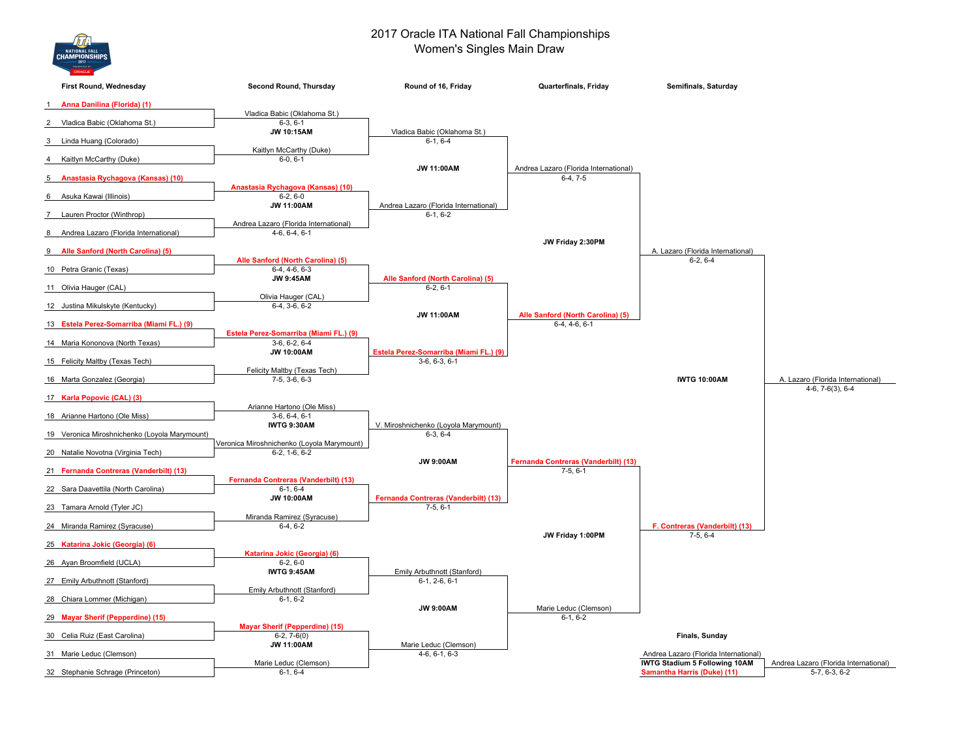

## 2017 Oracle ITA National Fall Championships Women's Singles Main Draw